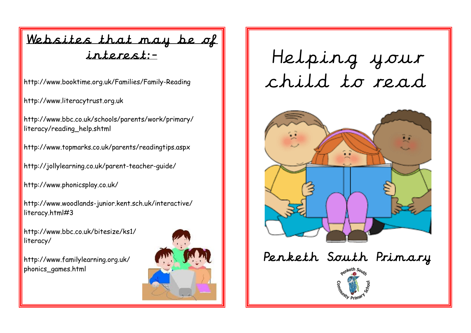#### Websites that may be of interest:-

http://www.booktime.org.uk/Families/Family-Reading

http://www.literacytrust.org.uk

http://www.bbc.co.uk/schools/parents/work/primary/ literacy/reading\_help.shtml

http://www.topmarks.co.uk/parents/readingtips.aspx

http://jollylearning.co.uk/parent-teacher-guide/

http://www.phonicsplay.co.uk/

http://www.woodlands-junior.kent.sch.uk/interactive/ literacy.html#3

http://www.bbc.co.uk/bitesize/ks1/ literacy/

http://www.familylearning.org.uk/ phonics\_games.html



# Helping your child to read



# Penketh South Primary